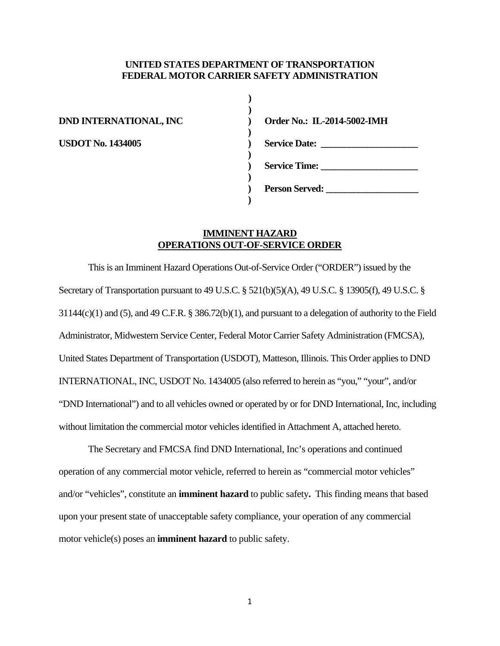#### **UNITED STATES DEPARTMENT OF TRANSPORTATION FEDERAL MOTOR CARRIER SAFETY ADMINISTRATION**

**)** 

 **)** 

 **)** 

 **)** 

 **)** 

**) DND INTERNATIONAL, INC ) Order No.: IL-2014-5002-IMH USDOT No. 1434005 ) Service Date: \_\_\_\_\_\_\_\_\_\_\_\_\_\_\_\_\_\_\_\_\_ ) Service Time: \_\_\_\_\_\_\_\_\_\_\_\_\_\_\_\_\_\_\_\_\_ ) Person Served: \_\_\_\_\_\_\_\_\_\_\_\_\_\_\_\_\_\_\_\_** 

# **IMMINENT HAZARD OPERATIONS OUT-OF-SERVICE ORDER**

This is an Imminent Hazard Operations Out-of-Service Order ("ORDER") issued by the Secretary of Transportation pursuant to 49 U.S.C. § 521(b)(5)(A), 49 U.S.C. § 13905(f), 49 U.S.C. § 31144(c)(1) and (5), and 49 C.F.R. § 386.72(b)(1), and pursuant to a delegation of authority to the Field Administrator, Midwestern Service Center, Federal Motor Carrier Safety Administration (FMCSA), United States Department of Transportation (USDOT), Matteson, Illinois. This Order applies to DND INTERNATIONAL, INC, USDOT No. 1434005 (also referred to herein as "you," "your", and/or "DND International") and to all vehicles owned or operated by or for DND International, Inc, including without limitation the commercial motor vehicles identified in Attachment A, attached hereto.

The Secretary and FMCSA find DND International, Inc's operations and continued operation of any commercial motor vehicle, referred to herein as "commercial motor vehicles" and/or "vehicles", constitute an **imminent hazard** to public safety**.** This finding means that based upon your present state of unacceptable safety compliance, your operation of any commercial motor vehicle(s) poses an **imminent hazard** to public safety.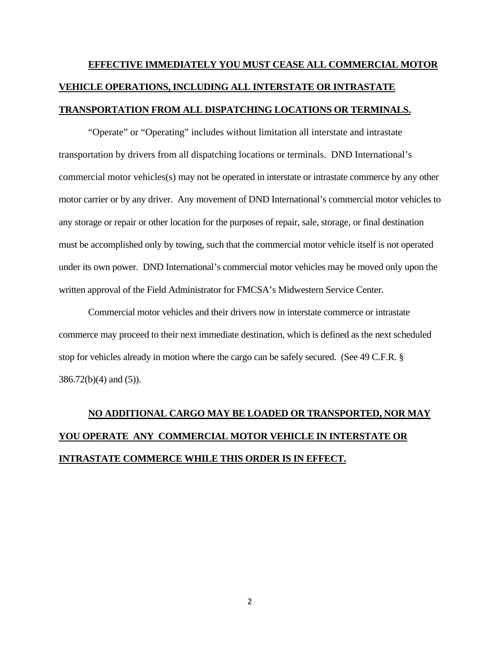# **EFFECTIVE IMMEDIATELY YOU MUST CEASE ALL COMMERCIAL MOTOR VEHICLE OPERATIONS, INCLUDING ALL INTERSTATE OR INTRASTATE TRANSPORTATION FROM ALL DISPATCHING LOCATIONS OR TERMINALS.**

 "Operate" or "Operating" includes without limitation all interstate and intrastate transportation by drivers from all dispatching locations or terminals. DND International's commercial motor vehicles(s) may not be operated in interstate or intrastate commerce by any other motor carrier or by any driver. Any movement of DND International's commercial motor vehicles to any storage or repair or other location for the purposes of repair, sale, storage, or final destination must be accomplished only by towing, such that the commercial motor vehicle itself is not operated under its own power. DND International's commercial motor vehicles may be moved only upon the written approval of the Field Administrator for FMCSA's Midwestern Service Center.

 Commercial motor vehicles and their drivers now in interstate commerce or intrastate commerce may proceed to their next immediate destination, which is defined as the next scheduled stop for vehicles already in motion where the cargo can be safely secured. (See 49 C.F.R. § 386.72(b)(4) and (5)).

# **NO ADDITIONAL CARGO MAY BE LOADED OR TRANSPORTED, NOR MAY YOU OPERATE ANY COMMERCIAL MOTOR VEHICLE IN INTERSTATE OR INTRASTATE COMMERCE WHILE THIS ORDER IS IN EFFECT.**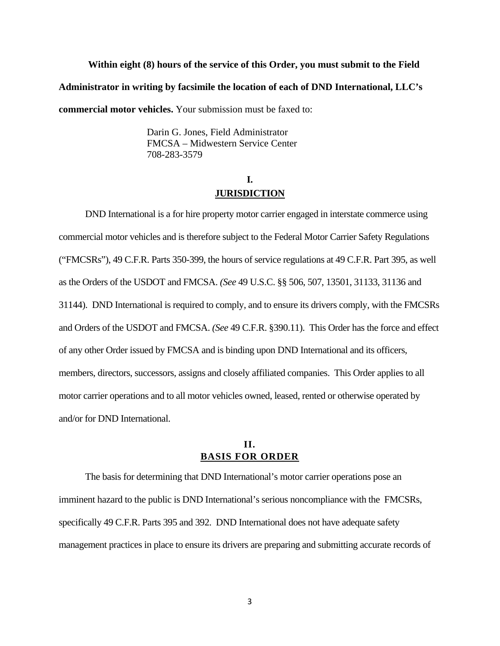**Within eight (8) hours of the service of this Order, you must submit to the Field Administrator in writing by facsimile the location of each of DND International, LLC's commercial motor vehicles.** Your submission must be faxed to:

> Darin G. Jones, Field Administrator FMCSA – Midwestern Service Center 708-283-3579

# **I. JURISDICTION**

DND International is a for hire property motor carrier engaged in interstate commerce using commercial motor vehicles and is therefore subject to the Federal Motor Carrier Safety Regulations ("FMCSRs"), 49 C.F.R. Parts 350-399, the hours of service regulations at 49 C.F.R. Part 395, as well as the Orders of the USDOT and FMCSA. *(See* 49 U.S.C. §§ 506, 507, 13501, 31133, 31136 and 31144). DND International is required to comply, and to ensure its drivers comply, with the FMCSRs and Orders of the USDOT and FMCSA. *(See* 49 C.F.R. §390.11). This Order has the force and effect of any other Order issued by FMCSA and is binding upon DND International and its officers, members, directors, successors, assigns and closely affiliated companies. This Order applies to all motor carrier operations and to all motor vehicles owned, leased, rented or otherwise operated by and/or for DND International.

# **II. BASIS FOR ORDER**

The basis for determining that DND International's motor carrier operations pose an imminent hazard to the public is DND International's serious noncompliance with the FMCSRs, specifically 49 C.F.R. Parts 395 and 392. DND International does not have adequate safety management practices in place to ensure its drivers are preparing and submitting accurate records of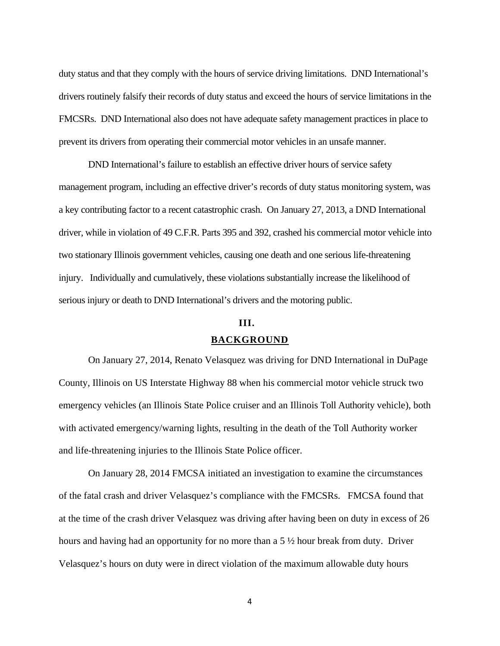duty status and that they comply with the hours of service driving limitations. DND International's drivers routinely falsify their records of duty status and exceed the hours of service limitations in the FMCSRs. DND International also does not have adequate safety management practices in place to prevent its drivers from operating their commercial motor vehicles in an unsafe manner.

 DND International's failure to establish an effective driver hours of service safety management program, including an effective driver's records of duty status monitoring system, was a key contributing factor to a recent catastrophic crash. On January 27, 2013, a DND International driver, while in violation of 49 C.F.R. Parts 395 and 392, crashed his commercial motor vehicle into two stationary Illinois government vehicles, causing one death and one serious life-threatening injury. Individually and cumulatively, these violations substantially increase the likelihood of serious injury or death to DND International's drivers and the motoring public.

# **III. BACKGROUND**

On January 27, 2014, Renato Velasquez was driving for DND International in DuPage County, Illinois on US Interstate Highway 88 when his commercial motor vehicle struck two emergency vehicles (an Illinois State Police cruiser and an Illinois Toll Authority vehicle), both with activated emergency/warning lights, resulting in the death of the Toll Authority worker and life-threatening injuries to the Illinois State Police officer.

On January 28, 2014 FMCSA initiated an investigation to examine the circumstances of the fatal crash and driver Velasquez's compliance with the FMCSRs. FMCSA found that at the time of the crash driver Velasquez was driving after having been on duty in excess of 26 hours and having had an opportunity for no more than a 5 ½ hour break from duty. Driver Velasquez's hours on duty were in direct violation of the maximum allowable duty hours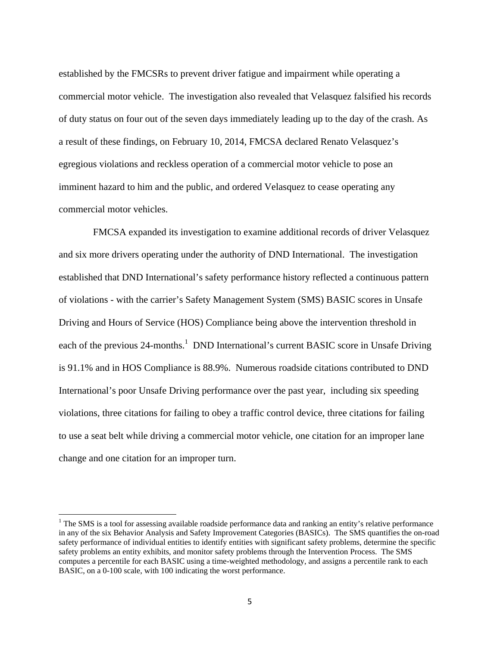established by the FMCSRs to prevent driver fatigue and impairment while operating a commercial motor vehicle. The investigation also revealed that Velasquez falsified his records of duty status on four out of the seven days immediately leading up to the day of the crash. As a result of these findings, on February 10, 2014, FMCSA declared Renato Velasquez's egregious violations and reckless operation of a commercial motor vehicle to pose an imminent hazard to him and the public, and ordered Velasquez to cease operating any commercial motor vehicles.

 FMCSA expanded its investigation to examine additional records of driver Velasquez and six more drivers operating under the authority of DND International. The investigation established that DND International's safety performance history reflected a continuous pattern of violations - with the carrier's Safety Management System (SMS) BASIC scores in Unsafe Driving and Hours of Service (HOS) Compliance being above the intervention threshold in each of the previous 24-months.<sup>1</sup> DND International's current BASIC score in Unsafe Driving is 91.1% and in HOS Compliance is 88.9%. Numerous roadside citations contributed to DND International's poor Unsafe Driving performance over the past year, including six speeding violations, three citations for failing to obey a traffic control device, three citations for failing to use a seat belt while driving a commercial motor vehicle, one citation for an improper lane change and one citation for an improper turn.

<sup>&</sup>lt;sup>1</sup> The SMS is a tool for assessing available roadside performance data and ranking an entity's relative performance in any of the six Behavior Analysis and Safety Improvement Categories (BASICs). The SMS quantifies the on-road safety performance of individual entities to identify entities with significant safety problems, determine the specific safety problems an entity exhibits, and monitor safety problems through the Intervention Process. The SMS computes a percentile for each BASIC using a time-weighted methodology, and assigns a percentile rank to each BASIC, on a 0-100 scale, with 100 indicating the worst performance.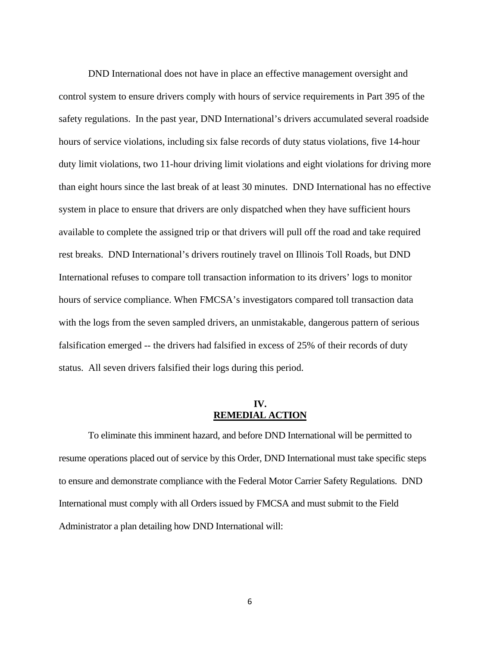DND International does not have in place an effective management oversight and control system to ensure drivers comply with hours of service requirements in Part 395 of the safety regulations. In the past year, DND International's drivers accumulated several roadside hours of service violations, including six false records of duty status violations, five 14-hour duty limit violations, two 11-hour driving limit violations and eight violations for driving more than eight hours since the last break of at least 30 minutes. DND International has no effective system in place to ensure that drivers are only dispatched when they have sufficient hours available to complete the assigned trip or that drivers will pull off the road and take required rest breaks. DND International's drivers routinely travel on Illinois Toll Roads, but DND International refuses to compare toll transaction information to its drivers' logs to monitor hours of service compliance. When FMCSA's investigators compared toll transaction data with the logs from the seven sampled drivers, an unmistakable, dangerous pattern of serious falsification emerged -- the drivers had falsified in excess of 25% of their records of duty status. All seven drivers falsified their logs during this period.

# **IV. REMEDIAL ACTION**

To eliminate this imminent hazard, and before DND International will be permitted to resume operations placed out of service by this Order, DND International must take specific steps to ensure and demonstrate compliance with the Federal Motor Carrier Safety Regulations. DND International must comply with all Orders issued by FMCSA and must submit to the Field Administrator a plan detailing how DND International will: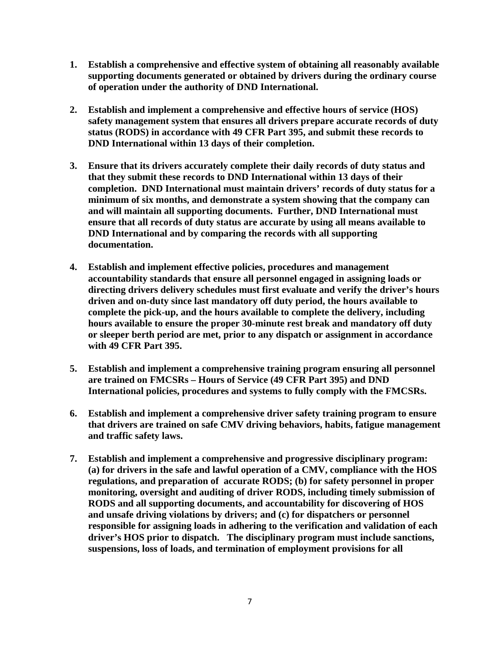- **1. Establish a comprehensive and effective system of obtaining all reasonably available supporting documents generated or obtained by drivers during the ordinary course of operation under the authority of DND International.**
- **2. Establish and implement a comprehensive and effective hours of service (HOS) safety management system that ensures all drivers prepare accurate records of duty status (RODS) in accordance with 49 CFR Part 395, and submit these records to DND International within 13 days of their completion.**
- **3. Ensure that its drivers accurately complete their daily records of duty status and that they submit these records to DND International within 13 days of their completion. DND International must maintain drivers' records of duty status for a minimum of six months, and demonstrate a system showing that the company can and will maintain all supporting documents. Further, DND International must ensure that all records of duty status are accurate by using all means available to DND International and by comparing the records with all supporting documentation.**
- **4. Establish and implement effective policies, procedures and management accountability standards that ensure all personnel engaged in assigning loads or directing drivers delivery schedules must first evaluate and verify the driver's hours driven and on-duty since last mandatory off duty period, the hours available to complete the pick-up, and the hours available to complete the delivery, including hours available to ensure the proper 30-minute rest break and mandatory off duty or sleeper berth period are met, prior to any dispatch or assignment in accordance with 49 CFR Part 395.**
- **5. Establish and implement a comprehensive training program ensuring all personnel are trained on FMCSRs – Hours of Service (49 CFR Part 395) and DND International policies, procedures and systems to fully comply with the FMCSRs.**
- **6. Establish and implement a comprehensive driver safety training program to ensure that drivers are trained on safe CMV driving behaviors, habits, fatigue management and traffic safety laws.**
- **7. Establish and implement a comprehensive and progressive disciplinary program: (a) for drivers in the safe and lawful operation of a CMV, compliance with the HOS regulations, and preparation of accurate RODS; (b) for safety personnel in proper monitoring, oversight and auditing of driver RODS, including timely submission of RODS and all supporting documents, and accountability for discovering of HOS and unsafe driving violations by drivers; and (c) for dispatchers or personnel responsible for assigning loads in adhering to the verification and validation of each driver's HOS prior to dispatch. The disciplinary program must include sanctions, suspensions, loss of loads, and termination of employment provisions for all**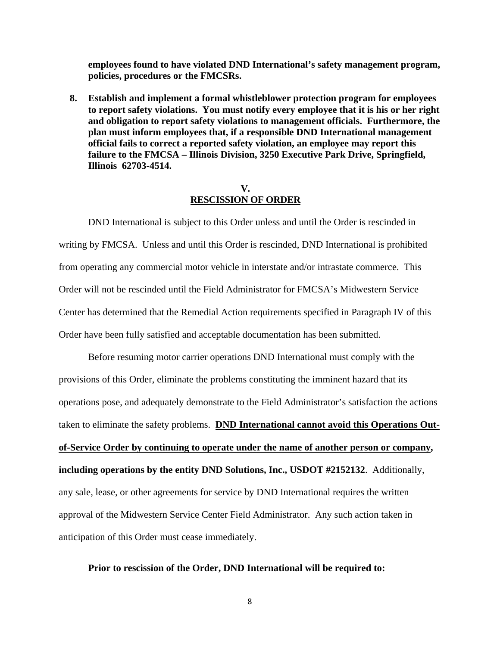**employees found to have violated DND International's safety management program, policies, procedures or the FMCSRs.** 

**8. Establish and implement a formal whistleblower protection program for employees to report safety violations. You must notify every employee that it is his or her right and obligation to report safety violations to management officials. Furthermore, the plan must inform employees that, if a responsible DND International management official fails to correct a reported safety violation, an employee may report this failure to the FMCSA – Illinois Division, 3250 Executive Park Drive, Springfield, Illinois 62703-4514.** 

#### **V. RESCISSION OF ORDER**

DND International is subject to this Order unless and until the Order is rescinded in writing by FMCSA. Unless and until this Order is rescinded, DND International is prohibited from operating any commercial motor vehicle in interstate and/or intrastate commerce. This Order will not be rescinded until the Field Administrator for FMCSA's Midwestern Service Center has determined that the Remedial Action requirements specified in Paragraph IV of this Order have been fully satisfied and acceptable documentation has been submitted.

 Before resuming motor carrier operations DND International must comply with the provisions of this Order, eliminate the problems constituting the imminent hazard that its operations pose, and adequately demonstrate to the Field Administrator's satisfaction the actions taken to eliminate the safety problems. **DND International cannot avoid this Operations Outof-Service Order by continuing to operate under the name of another person or company, including operations by the entity DND Solutions, Inc., USDOT #2152132**. Additionally, any sale, lease, or other agreements for service by DND International requires the written approval of the Midwestern Service Center Field Administrator. Any such action taken in anticipation of this Order must cease immediately.

#### **Prior to rescission of the Order, DND International will be required to:**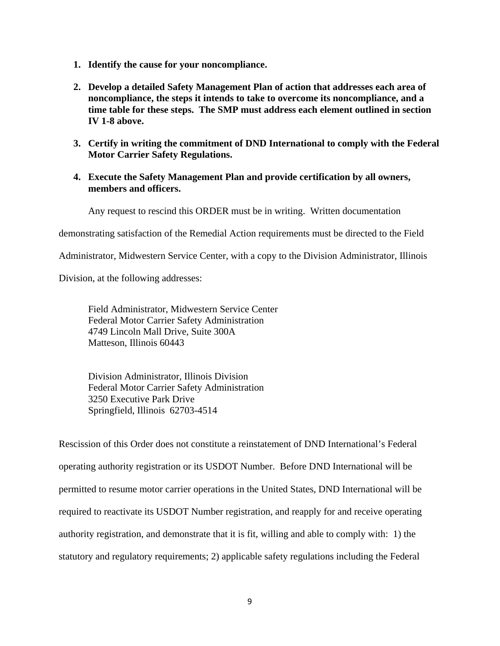- **1. Identify the cause for your noncompliance.**
- **2. Develop a detailed Safety Management Plan of action that addresses each area of noncompliance, the steps it intends to take to overcome its noncompliance, and a time table for these steps. The SMP must address each element outlined in section IV 1-8 above.**
- **3. Certify in writing the commitment of DND International to comply with the Federal Motor Carrier Safety Regulations.**
- **4. Execute the Safety Management Plan and provide certification by all owners, members and officers.**

Any request to rescind this ORDER must be in writing. Written documentation

demonstrating satisfaction of the Remedial Action requirements must be directed to the Field

Administrator, Midwestern Service Center, with a copy to the Division Administrator, Illinois

Division, at the following addresses:

Field Administrator, Midwestern Service Center Federal Motor Carrier Safety Administration 4749 Lincoln Mall Drive, Suite 300A Matteson, Illinois 60443

Division Administrator, Illinois Division Federal Motor Carrier Safety Administration 3250 Executive Park Drive Springfield, Illinois 62703-4514

Rescission of this Order does not constitute a reinstatement of DND International's Federal operating authority registration or its USDOT Number. Before DND International will be permitted to resume motor carrier operations in the United States, DND International will be required to reactivate its USDOT Number registration, and reapply for and receive operating authority registration, and demonstrate that it is fit, willing and able to comply with: 1) the statutory and regulatory requirements; 2) applicable safety regulations including the Federal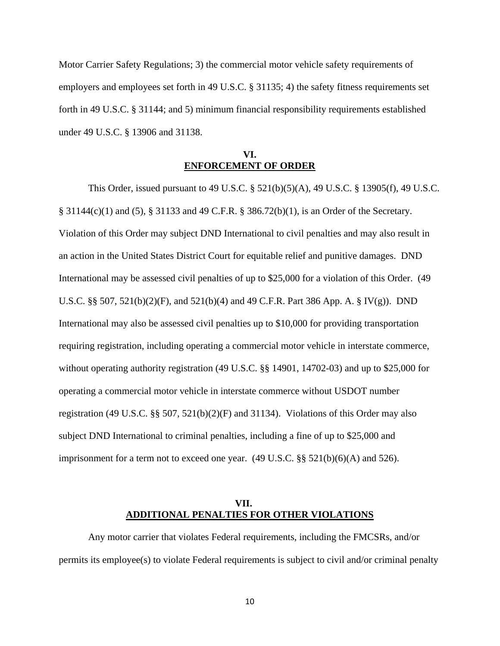Motor Carrier Safety Regulations; 3) the commercial motor vehicle safety requirements of employers and employees set forth in 49 U.S.C. § 31135; 4) the safety fitness requirements set forth in 49 U.S.C. § 31144; and 5) minimum financial responsibility requirements established under 49 U.S.C. § 13906 and 31138.

## **VI. ENFORCEMENT OF ORDER**

This Order, issued pursuant to 49 U.S.C. § 521(b)(5)(A), 49 U.S.C. § 13905(f), 49 U.S.C. § 31144(c)(1) and (5), § 31133 and 49 C.F.R. § 386.72(b)(1), is an Order of the Secretary. Violation of this Order may subject DND International to civil penalties and may also result in an action in the United States District Court for equitable relief and punitive damages. DND International may be assessed civil penalties of up to \$25,000 for a violation of this Order. (49 U.S.C. §§ 507, 521(b)(2)(F), and 521(b)(4) and 49 C.F.R. Part 386 App. A. § IV(g)). DND International may also be assessed civil penalties up to \$10,000 for providing transportation requiring registration, including operating a commercial motor vehicle in interstate commerce, without operating authority registration (49 U.S.C. §§ 14901, 14702-03) and up to \$25,000 for operating a commercial motor vehicle in interstate commerce without USDOT number registration (49 U.S.C. §§ 507, 521(b)(2)(F) and 31134). Violations of this Order may also subject DND International to criminal penalties, including a fine of up to \$25,000 and imprisonment for a term not to exceed one year.  $(49 \text{ U.S.C.} \$ §§  $521(b)(6)(A)$  and  $526)$ .

### **VII. ADDITIONAL PENALTIES FOR OTHER VIOLATIONS**

Any motor carrier that violates Federal requirements, including the FMCSRs, and/or permits its employee(s) to violate Federal requirements is subject to civil and/or criminal penalty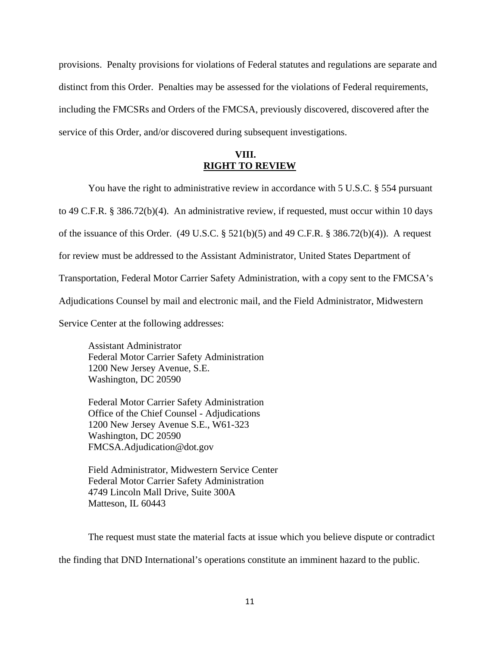provisions. Penalty provisions for violations of Federal statutes and regulations are separate and distinct from this Order. Penalties may be assessed for the violations of Federal requirements, including the FMCSRs and Orders of the FMCSA, previously discovered, discovered after the service of this Order, and/or discovered during subsequent investigations.

# **VIII. RIGHT TO REVIEW**

You have the right to administrative review in accordance with 5 U.S.C. § 554 pursuant to 49 C.F.R. § 386.72(b)(4). An administrative review, if requested, must occur within 10 days of the issuance of this Order.  $(49 \text{ U.S.C.} \S 521(b)(5)$  and  $49 \text{ C.F.R.} \S 386.72(b)(4))$ . A request for review must be addressed to the Assistant Administrator, United States Department of Transportation, Federal Motor Carrier Safety Administration, with a copy sent to the FMCSA's Adjudications Counsel by mail and electronic mail, and the Field Administrator, Midwestern Service Center at the following addresses:

Assistant Administrator Federal Motor Carrier Safety Administration 1200 New Jersey Avenue, S.E. Washington, DC 20590

Federal Motor Carrier Safety Administration Office of the Chief Counsel - Adjudications 1200 New Jersey Avenue S.E., W61-323 Washington, DC 20590 FMCSA.Adjudication@dot.gov

 Field Administrator, Midwestern Service Center Federal Motor Carrier Safety Administration 4749 Lincoln Mall Drive, Suite 300A Matteson, IL 60443

 The request must state the material facts at issue which you believe dispute or contradict the finding that DND International's operations constitute an imminent hazard to the public.